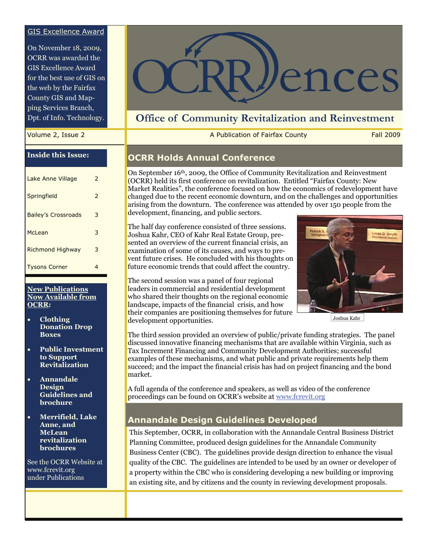#### GIS Excellence Award

On November 18, 2009, OCRR was awarded the GIS Excellence Award for the best use of GIS on the web by the Fairfax County GIS and Mapping Services Branch, Dpt. of Info. Technology.

#### **Inside this Issue:**

| Lake Anne Village          | 2             |
|----------------------------|---------------|
| Springfield                | $\mathcal{P}$ |
| <b>Bailey's Crossroads</b> | 3             |
| McLean                     | 3             |
| Richmond Highway           | 3             |
| <b>Tysons Corner</b>       |               |

#### **New Publications Now Available from OCRR:**

- **Clothing Donation Drop Boxes**
- **Public Investment to Support Revitalization**
- **Annandale Design Guidelines and brochure**
- **Merrifield, Lake Anne, and McLean revitalization brochures**

See the OCRR Website at www.fcrevit.org under Publications

# ences

# **Office of Community Revitalization and Reinvestment**

Volume 2, Issue 2 A Publication of Fairfax County Fall 2009

#### **OCRR Holds Annual Conference**

On September 16th, 2009, the Office of Community Revitalization and Reinvestment (OCRR) held its first conference on revitalization. Entitled "Fairfax County: New Market Realities", the conference focused on how the economics of redevelopment have changed due to the recent economic downturn, and on the challenges and opportunities arising from the downturn. The conference was attended by over 150 people from the development, financing, and public sectors.

The half day conference consisted of three sessions. Joshua Kahr, CEO of Kahr Real Estate Group, presented an overview of the current financial crisis, an examination of some of its causes, and ways to prevent future crises. He concluded with his thoughts on future economic trends that could affect the country.

The second session was a panel of four regional leaders in commercial and residential development who shared their thoughts on the regional economic landscape, impacts of the financial crisis, and how their companies are positioning themselves for future

development opportunities.



Joshua Kahr

The third session provided an overview of public/private funding strategies. The panel discussed innovative financing mechanisms that are available within Virginia, such as Tax Increment Financing and Community Development Authorities; successful examples of these mechanisms, and what public and private requirements help them succeed; and the impact the financial crisis has had on project financing and the bond market.

A full agenda of the conference and speakers, as well as video of the conference proceedings can be found on OCRR's website at [www.fcrevit.org](http://www.fcrevit.org/)

#### **Annandale Design Guidelines Developed**

This September, OCRR, in collaboration with the Annandale Central Business District Planning Committee, produced design guidelines for the Annandale Community Business Center (CBC). The guidelines provide design direction to enhance the visual quality of the CBC. The guidelines are intended to be used by an owner or developer of a property within the CBC who is considering developing a new building or improving an existing site, and by citizens and the county in reviewing development proposals.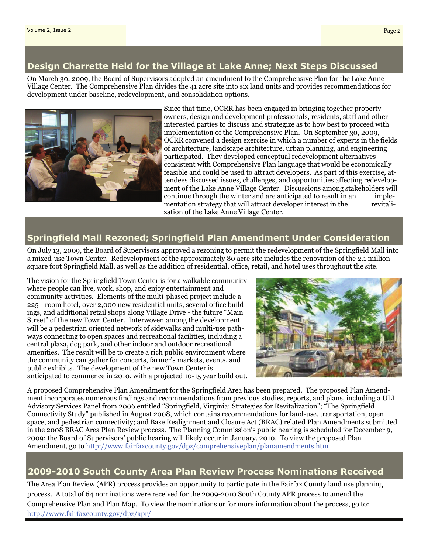## **Design Charrette Held for the Village at Lake Anne; Next Steps Discussed**

On March 30, 2009, the Board of Supervisors adopted an amendment to the Comprehensive Plan for the Lake Anne Village Center. The Comprehensive Plan divides the 41 acre site into six land units and provides recommendations for development under baseline, redevelopment, and consolidation options.



Since that time, OCRR has been engaged in bringing together property owners, design and development professionals, residents, staff and other interested parties to discuss and strategize as to how best to proceed with implementation of the Comprehensive Plan. On September 30, 2009, OCRR convened a design exercise in which a number of experts in the fields of architecture, landscape architecture, urban planning, and engineering participated. They developed conceptual redevelopment alternatives consistent with Comprehensive Plan language that would be economically feasible and could be used to attract developers. As part of this exercise, attendees discussed issues, challenges, and opportunities affecting redevelopment of the Lake Anne Village Center. Discussions among stakeholders will continue through the winter and are anticipated to result in an implementation strategy that will attract developer interest in the revitalization of the Lake Anne Village Center.

### **Springfield Mall Rezoned; Springfield Plan Amendment Under Consideration**

On July 13, 2009, the Board of Supervisors approved a rezoning to permit the redevelopment of the Springfield Mall into a mixed-use Town Center. Redevelopment of the approximately 80 acre site includes the renovation of the 2.1 million square foot Springfield Mall, as well as the addition of residential, office, retail, and hotel uses throughout the site.

The vision for the Springfield Town Center is for a walkable community where people can live, work, shop, and enjoy entertainment and community activities. Elements of the multi-phased project include a 225+ room hotel, over 2,000 new residential units, several office buildings, and additional retail shops along Village Drive - the future "Main Street" of the new Town Center. Interwoven among the development will be a pedestrian oriented network of sidewalks and multi-use pathways connecting to open spaces and recreational facilities, including a central plaza, dog park, and other indoor and outdoor recreational amenities. The result will be to create a rich public environment where the community can gather for concerts, farmer's markets, events, and public exhibits. The development of the new Town Center is anticipated to commence in 2010, with a projected 10-15 year build out.



A proposed Comprehensive Plan Amendment for the Springfield Area has been prepared. The proposed Plan Amendment incorporates numerous findings and recommendations from previous studies, reports, and plans, including a ULI Advisory Services Panel from 2006 entitled "Springfield, Virginia: Strategies for Revitalization"; "The Springfield Connectivity Study" published in August 2008, which contains recommendations for land-use, transportation, open space, and pedestrian connectivity; and Base Realignment and Closure Act (BRAC) related Plan Amendments submitted in the 2008 BRAC Area Plan Review process. The Planning Commission's public hearing is scheduled for December 9, 2009; the Board of Supervisors' public hearing will likely occur in January, 2010. To view the proposed Plan Amendment, go to http://www.fairfaxcounty.gov/dpz/comprehensiveplan/planamendments.htm

## **2009-2010 South County Area Plan Review Process Nominations Received**

The Area Plan Review (APR) process provides an opportunity to participate in the Fairfax County land use planning process. A total of 64 nominations were received for the 2009-2010 South County APR process to amend the Comprehensive Plan and Plan Map. To view the nominations or for more information about the process, go to: http://www.fairfaxcounty.gov/dpz/apr/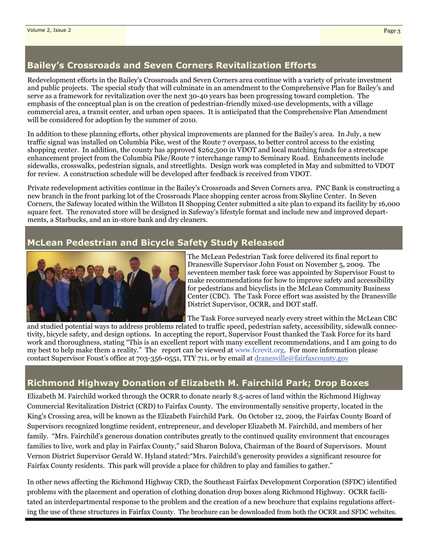# **Bailey's Crossroads and Seven Corners Revitalization Efforts**

Redevelopment efforts in the Bailey's Crossroads and Seven Corners area continue with a variety of private investment and public projects. The special study that will culminate in an amendment to the Comprehensive Plan for Bailey's and serve as a framework for revitalization over the next 30-40 years has been progressing toward completion. The emphasis of the conceptual plan is on the creation of pedestrian-friendly mixed-use developments, with a village commercial area, a transit center, and urban open spaces. It is anticipated that the Comprehensive Plan Amendment will be considered for adoption by the summer of 2010.

In addition to these planning efforts, other physical improvements are planned for the Bailey's area. In July, a new traffic signal was installed on Columbia Pike, west of the Route 7 overpass, to better control access to the existing shopping center. In addition, the county has approved \$262,500 in VDOT and local matching funds for a streetscape enhancement project from the Columbia Pike/Route 7 interchange ramp to Seminary Road. Enhancements include sidewalks, crosswalks, pedestrian signals, and streetlights. Design work was completed in May and submitted to VDOT for review. A construction schedule will be developed after feedback is received from VDOT.

Private redevelopment activities continue in the Bailey's Crossroads and Seven Corners area. PNC Bank is constructing a new branch in the front parking lot of the Crossroads Place shopping center across from Skyline Center. In Seven Corners, the Safeway located within the Willston II Shopping Center submitted a site plan to expand its facility by 16,000 square feet. The renovated store will be designed in Safeway's lifestyle format and include new and improved departments, a Starbucks, and an in-store bank and dry cleaners.

### **McLean Pedestrian and Bicycle Safety Study Released**



The McLean Pedestrian Task force delivered its final report to Dranesville Supervisor John Foust on November 5, 2009. The seventeen member task force was appointed by Supervisor Foust to make recommendations for how to improve safety and accessibility for pedestrians and bicyclists in the McLean Community Business Center (CBC). The Task Force effort was assisted by the Dranesville District Supervisor, OCRR, and DOT staff.

The Task Force surveyed nearly every street within the McLean CBC

and studied potential ways to address problems related to traffic speed, pedestrian safety, accessibility, sidewalk connectivity, bicycle safety, and design options. In accepting the report, Supervisor Foust thanked the Task Force for its hard work and thoroughness, stating "This is an excellent report with many excellent recommendations, and I am going to do my best to help make them a reality." The report can be viewed at www.fcrevit.org. For more information please contact Supervisor Foust's office at 703-356-0551, TTY 711, or by email at dranesville@fairfaxcounty.gov

# **Richmond Highway Donation of Elizabeth M. Fairchild Park; Drop Boxes**

Elizabeth M. Fairchild worked through the OCRR to donate nearly 8.5-acres of land within the Richmond Highway Commercial Revitalization District (CRD) to Fairfax County. The environmentally sensitive property, located in the King's Crossing area, will be known as the Elizabeth Fairchild Park. On October 12, 2009, the Fairfax County Board of Supervisors recognized longtime resident, entrepreneur, and developer Elizabeth M. Fairchild, and members of her family. "Mrs. Fairchild's generous donation contributes greatly to the continued quality environment that encourages families to live, work and play in Fairfax County," said Sharon Bulova, Chairman of the Board of Supervisors. Mount Vernon District Supervisor Gerald W. Hyland stated:"Mrs. Fairchild's generosity provides a significant resource for Fairfax County residents. This park will provide a place for children to play and families to gather."

In other news affecting the Richmond Highway CRD, the Southeast Fairfax Development Corporation (SFDC) identified problems with the placement and operation of clothing donation drop boxes along Richmond Highway. OCRR facilitated an interdepartmental response to the problem and the creation of a new brochure that explains regulations affecting the use of these structures in Fairfax County. The brochure can be downloaded from both the OCRR and SFDC websites.